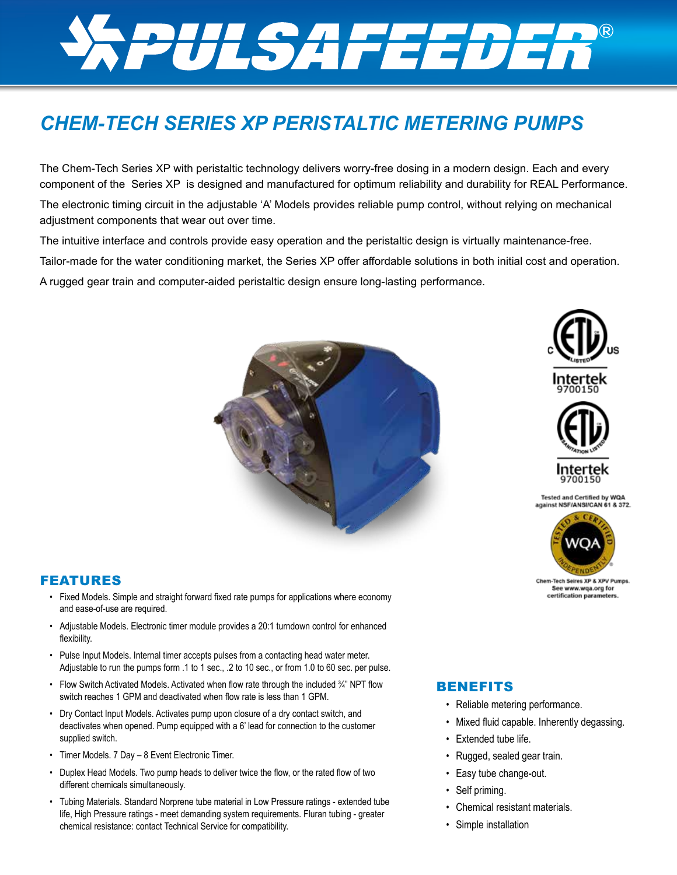# *SPULSAFEEDER*

# *CHEM-TECH SERIES XP PERISTALTIC METERING PUMPS*

The Chem-Tech Series XP with peristaltic technology delivers worry-free dosing in a modern design. Each and every component of the Series XP is designed and manufactured for optimum reliability and durability for REAL Performance.

The electronic timing circuit in the adjustable 'A' Models provides reliable pump control, without relying on mechanical adjustment components that wear out over time.

The intuitive interface and controls provide easy operation and the peristaltic design is virtually maintenance-free.

Tailor-made for the water conditioning market, the Series XP offer affordable solutions in both initial cost and operation.

A rugged gear train and computer-aided peristaltic design ensure long-lasting performance.







Chem-Tech Seires XP & XP See www.wqa.org for certification parameters

#### FEATURES

- Fixed Models. Simple and straight forward fixed rate pumps for applications where economy and ease-of-use are required.
- Adjustable Models. Electronic timer module provides a 20:1 turndown control for enhanced flexibility.
- Pulse Input Models. Internal timer accepts pulses from a contacting head water meter. Adjustable to run the pumps form .1 to 1 sec., .2 to 10 sec., or from 1.0 to 60 sec. per pulse.
- Flow Switch Activated Models. Activated when flow rate through the included  $\frac{3}{4}$ " NPT flow switch reaches 1 GPM and deactivated when flow rate is less than 1 GPM.
- Dry Contact Input Models. Activates pump upon closure of a dry contact switch, and deactivates when opened. Pump equipped with a 6' lead for connection to the customer supplied switch.
- Timer Models. 7 Day 8 Event Electronic Timer.
- Duplex Head Models. Two pump heads to deliver twice the flow, or the rated flow of two different chemicals simultaneously.
- Tubing Materials. Standard Norprene tube material in Low Pressure ratings extended tube life, High Pressure ratings - meet demanding system requirements. Fluran tubing - greater chemical resistance: contact Technical Service for compatibility.

#### BENEFITS

- Reliable metering performance.
- Mixed fluid capable. Inherently degassing.
- Extended tube life.
- Rugged, sealed gear train.
- Easy tube change-out.
- Self priming.
- Chemical resistant materials.
- Simple installation